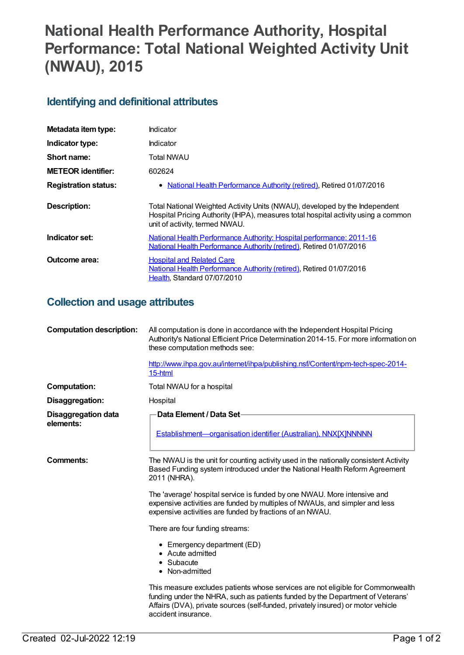# **National Health Performance Authority, Hospital Performance: Total National Weighted Activity Unit (NWAU), 2015**

#### **Identifying and definitional attributes**

| Metadata item type:         | Indicator                                                                                                                                                                                           |  |
|-----------------------------|-----------------------------------------------------------------------------------------------------------------------------------------------------------------------------------------------------|--|
| Indicator type:             | Indicator                                                                                                                                                                                           |  |
| Short name:                 | Total NWAU                                                                                                                                                                                          |  |
| <b>METEOR</b> identifier:   | 602624                                                                                                                                                                                              |  |
| <b>Registration status:</b> | • National Health Performance Authority (retired), Retired 01/07/2016                                                                                                                               |  |
| Description:                | Total National Weighted Activity Units (NWAU), developed by the Independent<br>Hospital Pricing Authority (IHPA), measures total hospital activity using a common<br>unit of activity, termed NWAU. |  |
| Indicator set:              | National Health Performance Authority: Hospital performance: 2011-16<br>National Health Performance Authority (retired), Retired 01/07/2016                                                         |  |
| Outcome area:               | <b>Hospital and Related Care</b><br>National Health Performance Authority (retired), Retired 01/07/2016<br>Health, Standard 07/07/2010                                                              |  |

#### **Collection and usage attributes**

| <b>Computation description:</b>         | All computation is done in accordance with the Independent Hospital Pricing<br>Authority's National Efficient Price Determination 2014-15. For more information on<br>these computation methods see:<br>http://www.ihpa.gov.au/internet/ihpa/publishing.nsf/Content/npm-tech-spec-2014- |
|-----------------------------------------|-----------------------------------------------------------------------------------------------------------------------------------------------------------------------------------------------------------------------------------------------------------------------------------------|
|                                         | 15-html                                                                                                                                                                                                                                                                                 |
| <b>Computation:</b>                     | Total NWAU for a hospital                                                                                                                                                                                                                                                               |
| Disaggregation:                         | Hospital                                                                                                                                                                                                                                                                                |
| <b>Disaggregation data</b><br>elements: | Data Element / Data Set-                                                                                                                                                                                                                                                                |
|                                         | Establishment-organisation identifier (Australian), NNX[X]NNNNN                                                                                                                                                                                                                         |
| <b>Comments:</b>                        | The NWAU is the unit for counting activity used in the nationally consistent Activity<br>Based Funding system introduced under the National Health Reform Agreement<br>2011 (NHRA).                                                                                                     |
|                                         | The 'average' hospital service is funded by one NWAU. More intensive and<br>expensive activities are funded by multiples of NWAUs, and simpler and less<br>expensive activities are funded by fractions of an NWAU.                                                                     |
|                                         | There are four funding streams:                                                                                                                                                                                                                                                         |
|                                         | • Emergency department (ED)<br>• Acute admitted<br>• Subacute<br>• Non-admitted                                                                                                                                                                                                         |
|                                         | This measure excludes patients whose services are not eligible for Commonwealth<br>funding under the NHRA, such as patients funded by the Department of Veterans'<br>Affairs (DVA), private sources (self-funded, privately insured) or motor vehicle<br>accident insurance.            |